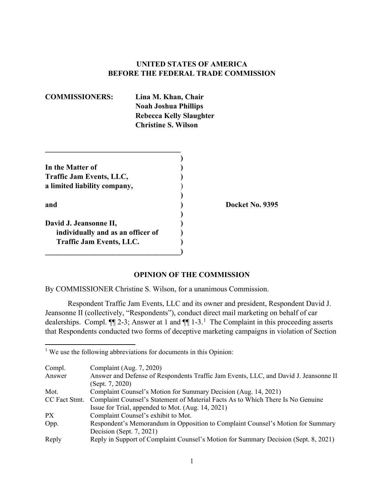# **UNITED STATES OF AMERICA BEFORE THE FEDERAL TRADE COMMISSION**

**COMMISSIONERS: Lina M. Khan, Chair Noah Joshua Phillips Rebecca Kelly Slaughter Christine S. Wilson**

| In the Matter of                  |  |
|-----------------------------------|--|
| Traffic Jam Events, LLC,          |  |
| a limited liability company,      |  |
|                                   |  |
| and                               |  |
|                                   |  |
| David J. Jeansonne II,            |  |
| individually and as an officer of |  |
| <b>Traffic Jam Events, LLC.</b>   |  |
|                                   |  |

**\_\_\_\_\_\_\_\_\_\_\_\_\_\_\_\_\_\_\_\_\_\_\_\_\_\_\_\_\_\_\_\_\_\_\_\_**

**and ) Docket No. 9395**

#### **OPINION OF THE COMMISSION**

By COMMISSIONER Christine S. Wilson, for a unanimous Commission.

Respondent Traffic Jam Events, LLC and its owner and president, Respondent David J. Jeansonne II (collectively, "Respondents"), conduct direct mail marketing on behalf of car dealerships. Compl.  $\P$ [2-3; Answer at [1](#page-0-0) and  $\P$ [1-3.<sup>1</sup> The Complaint in this proceeding asserts that Respondents conducted two forms of deceptive marketing campaigns in violation of Section

 $\overline{\phantom{a}}$ 

| Compl.        | Complaint (Aug. 7, 2020)                                                             |
|---------------|--------------------------------------------------------------------------------------|
| Answer        | Answer and Defense of Respondents Traffic Jam Events, LLC, and David J. Jeansonne II |
|               | (Sept. 7, 2020)                                                                      |
| Mot.          | Complaint Counsel's Motion for Summary Decision (Aug. 14, 2021)                      |
| CC Fact Stmt. | Complaint Counsel's Statement of Material Facts As to Which There Is No Genuine      |
|               | Issue for Trial, appended to Mot. (Aug. 14, 2021)                                    |
| PX            | Complaint Counsel's exhibit to Mot.                                                  |
| Opp.          | Respondent's Memorandum in Opposition to Complaint Counsel's Motion for Summary      |
|               | Decision (Sept. 7, 2021)                                                             |
| Reply         | Reply in Support of Complaint Counsel's Motion for Summary Decision (Sept. 8, 2021)  |

<span id="page-0-0"></span> $1$  We use the following abbreviations for documents in this Opinion: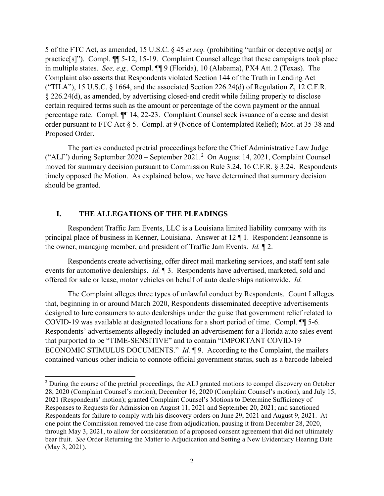5 of the FTC Act, as amended, 15 U.S.C. § 45 *et seq.* (prohibiting "unfair or deceptive act[s] or practice[s]"). Compl. ¶¶ 5-12, 15-19. Complaint Counsel allege that these campaigns took place in multiple states.*See, e.g.,* Compl. ¶¶ 9 (Florida), 10 (Alabama), PX4 Att. 2 (Texas). The Complaint also asserts that Respondents violated Section 144 of the Truth in Lending Act ("TILA"), 15 U.S.C.  $\S$  1664, and the associated Section 226.24(d) of Regulation Z, 12 C.F.R. § 226.24(d), as amended, by advertising closed-end credit while failing properly to disclose certain required terms such as the amount or percentage of the down payment or the annual percentage rate. Compl. ¶¶ 14, 22-23. Complaint Counsel seek issuance of a cease and desist order pursuant to FTC Act § 5. Compl. at 9 (Notice of Contemplated Relief); Mot. at 35-38 and Proposed Order.

The parties conducted pretrial proceedings before the Chief Administrative Law Judge ("ALJ") during September 2020 – September 2021.[2](#page-1-0) On August 14, 2021, Complaint Counsel moved for summary decision pursuant to Commission Rule 3.24, 16 C.F.R. § 3.24. Respondents timely opposed the Motion. As explained below, we have determined that summary decision should be granted.

# **I. THE ALLEGATIONS OF THE PLEADINGS**

 $\overline{\phantom{a}}$ 

Respondent Traffic Jam Events, LLC is a Louisiana limited liability company with its principal place of business in Kenner, Louisiana. Answer at 12 ¶ 1. Respondent Jeansonne is the owner, managing member, and president of Traffic Jam Events. *Id.* ¶ 2.

Respondents create advertising, offer direct mail marketing services, and staff tent sale events for automotive dealerships. *Id.* ¶ 3. Respondents have advertised, marketed, sold and offered for sale or lease, motor vehicles on behalf of auto dealerships nationwide. *Id.*

The Complaint alleges three types of unlawful conduct by Respondents. Count I alleges that, beginning in or around March 2020, Respondents disseminated deceptive advertisements designed to lure consumers to auto dealerships under the guise that government relief related to COVID-19 was available at designated locations for a short period of time. Compl. ¶¶ 5-6. Respondents' advertisements allegedly included an advertisement for a Florida auto sales event that purported to be "TIME-SENSITIVE" and to contain "IMPORTANT COVID-19 ECONOMIC STIMULUS DOCUMENTS." *Id.* ¶ 9. According to the Complaint, the mailers contained various other indicia to connote official government status, such as a barcode labeled

<span id="page-1-0"></span><sup>&</sup>lt;sup>2</sup> During the course of the pretrial proceedings, the ALJ granted motions to compel discovery on October 28, 2020 (Complaint Counsel's motion), December 16, 2020 (Complaint Counsel's motion), and July 15, 2021 (Respondents' motion); granted Complaint Counsel's Motions to Determine Sufficiency of Responses to Requests for Admission on August 11, 2021 and September 20, 2021; and sanctioned Respondents for failure to comply with his discovery orders on June 29, 2021 and August 9, 2021. At one point the Commission removed the case from adjudication, pausing it from December 28, 2020, through May 3, 2021, to allow for consideration of a proposed consent agreement that did not ultimately bear fruit. *See* Order Returning the Matter to Adjudication and Setting a New Evidentiary Hearing Date (May 3, 2021).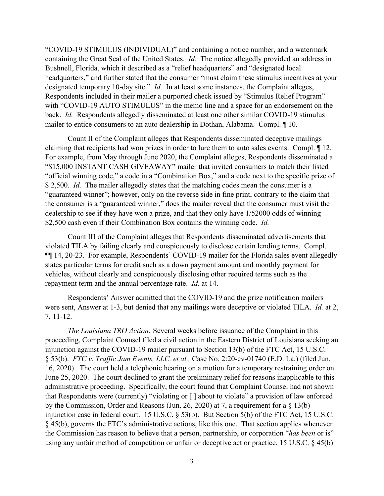"COVID-19 STIMULUS (INDIVIDUAL)" and containing a notice number, and a watermark containing the Great Seal of the United States. *Id.* The notice allegedly provided an address in Bushnell, Florida, which it described as a "relief headquarters" and "designated local headquarters," and further stated that the consumer "must claim these stimulus incentives at your designated temporary 10-day site." *Id.* In at least some instances, the Complaint alleges, Respondents included in their mailer a purported check issued by "Stimulus Relief Program" with "COVID-19 AUTO STIMULUS" in the memo line and a space for an endorsement on the back. *Id.* Respondents allegedly disseminated at least one other similar COVID-19 stimulus mailer to entice consumers to an auto dealership in Dothan, Alabama. Compl. ¶ 10.

Count II of the Complaint alleges that Respondents disseminated deceptive mailings claiming that recipients had won prizes in order to lure them to auto sales events. Compl. ¶ 12. For example, from May through June 2020, the Complaint alleges, Respondents disseminated a "\$15,000 INSTANT CASH GIVEAWAY" mailer that invited consumers to match their listed "official winning code," a code in a "Combination Box," and a code next to the specific prize of \$ 2,500. *Id.* The mailer allegedly states that the matching codes mean the consumer is a "guaranteed winner"; however, only on the reverse side in fine print, contrary to the claim that the consumer is a "guaranteed winner," does the mailer reveal that the consumer must visit the dealership to see if they have won a prize, and that they only have 1/52000 odds of winning \$2,500 cash even if their Combination Box contains the winning code. *Id.*

Count III of the Complaint alleges that Respondents disseminated advertisements that violated TILA by failing clearly and conspicuously to disclose certain lending terms. Compl. ¶¶ 14, 20-23. For example, Respondents' COVID-19 mailer for the Florida sales event allegedly states particular terms for credit such as a down payment amount and monthly payment for vehicles, without clearly and conspicuously disclosing other required terms such as the repayment term and the annual percentage rate. *Id.* at 14.

Respondents' Answer admitted that the COVID-19 and the prize notification mailers were sent, Answer at 1-3, but denied that any mailings were deceptive or violated TILA. *Id.* at 2, 7, 11-12.

*The Louisiana TRO Action:* Several weeks before issuance of the Complaint in this proceeding, Complaint Counsel filed a civil action in the Eastern District of Louisiana seeking an injunction against the COVID-19 mailer pursuant to Section 13(b) of the FTC Act, 15 U.S.C. § 53(b). *FTC v. Traffic Jam Events, LLC, et al.,* Case No. 2:20-cv-01740 (E.D. La.) (filed Jun. 16, 2020). The court held a telephonic hearing on a motion for a temporary restraining order on June 25, 2020. The court declined to grant the preliminary relief for reasons inapplicable to this administrative proceeding. Specifically, the court found that Complaint Counsel had not shown that Respondents were (currently) "violating or [ ] about to violate" a provision of law enforced by the Commission, Order and Reasons (Jun. 26, 2020) at 7, a requirement for a § 13(b) injunction case in federal court. 15 U.S.C. § 53(b). But Section 5(b) of the FTC Act, 15 U.S.C. § 45(b), governs the FTC's administrative actions, like this one. That section applies whenever the Commission has reason to believe that a person, partnership, or corporation "*has been* or is" using any unfair method of competition or unfair or deceptive act or practice, 15 U.S.C. § 45(b)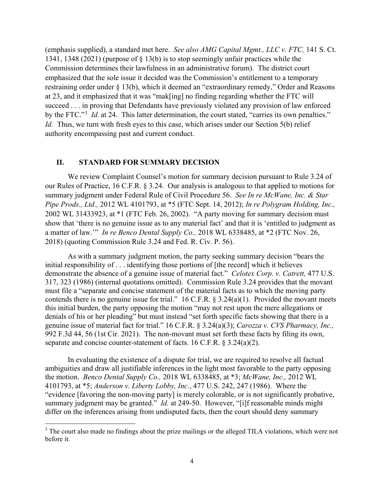(emphasis supplied), a standard met here. *See also AMG Capital Mgmt., LLC v. FTC,* 141 S. Ct. 1341, 1348 (2021) (purpose of § 13(b) is to stop seemingly unfair practices while the Commission determines their lawfulness in an administrative forum). The district court emphasized that the sole issue it decided was the Commission's entitlement to a temporary restraining order under § 13(b), which it deemed an "extraordinary remedy," Order and Reasons at 23, and it emphasized that it was "mak[ing] no finding regarding whether the FTC will succeed . . . in proving that Defendants have previously violated any provision of law enforced by the FTC."<sup>[3](#page-3-0)</sup> *Id.* at 24. This latter determination, the court stated, "carries its own penalties." *Id.* Thus, we turn with fresh eyes to this case, which arises under our Section 5(b) relief authority encompassing past and current conduct.

## **II. STANDARD FOR SUMMARY DECISION**

 $\overline{a}$ 

We review Complaint Counsel's motion for summary decision pursuant to Rule 3.24 of our Rules of Practice, 16 C.F.R. § 3.24. Our analysis is analogous to that applied to motions for summary judgment under Federal Rule of Civil Procedure 56. *See In re McWane, Inc. & Star Pipe Prods., Ltd.,* 2012 WL 4101793, at \*5 (FTC Sept. 14, 2012); *In re Polygram Holding, Inc.,* 2002 WL 31433923, at \*1 (FTC Feb. 26, 2002). "A party moving for summary decision must show that 'there is no genuine issue as to any material fact' and that it is 'entitled to judgment as a matter of law.'" *In re Benco Dental Supply Co.,* 2018 WL 6338485, at \*2 (FTC Nov. 26, 2018) (quoting Commission Rule 3.24 and Fed. R. Civ. P. 56).

As with a summary judgment motion, the party seeking summary decision "bears the initial responsibility of . . . identifying those portions of [the record] which it believes demonstrate the absence of a genuine issue of material fact." *Celotex Corp. v. Catrett,* 477 U.S. 317, 323 (1986) (internal quotations omitted). Commission Rule 3.24 provides that the movant must file a "separate and concise statement of the material facts as to which the moving party contends there is no genuine issue for trial." 16 C.F.R. § 3.24(a)(1). Provided the movant meets this initial burden, the party opposing the motion "may not rest upon the mere allegations or denials of his or her pleading" but must instead "set forth specific facts showing that there is a genuine issue of material fact for trial." 16 C.F.R. § 3.24(a)(3); *Carozza v. CVS Pharmacy, Inc.,*  992 F.3d 44, 56 (1st Cir. 2021). The non-movant must set forth these facts by filing its own, separate and concise counter-statement of facts. 16 C.F.R. § 3.24(a)(2).

In evaluating the existence of a dispute for trial, we are required to resolve all factual ambiguities and draw all justifiable inferences in the light most favorable to the party opposing the motion. *Benco Dental Supply Co.,* 2018 WL 6338485, at \*3; *McWane, Inc.,* 2012 WL 4101793, at \*5; *Anderson v. Liberty Lobby, Inc.*, 477 U.S. 242, 247 (1986). Where the "evidence [favoring the non-moving party] is merely colorable, or is not significantly probative, summary judgment may be granted." *Id.* at 249-50. However, "[i]f reasonable minds might differ on the inferences arising from undisputed facts, then the court should deny summary

<span id="page-3-0"></span><sup>&</sup>lt;sup>3</sup> The court also made no findings about the prize mailings or the alleged TILA violations, which were not before it.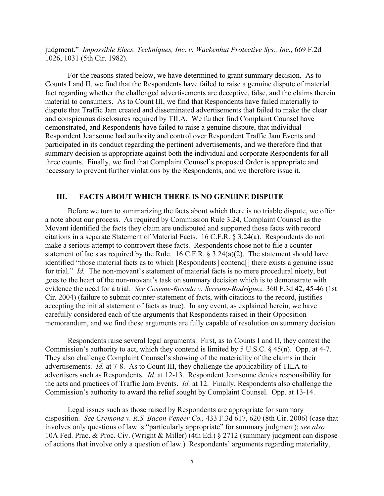judgment." *Impossible Elecs. Techniques, Inc. v. Wackenhut Protective Sys., Inc., 669 F.2d* 1026, 1031 (5th Cir. 1982).

For the reasons stated below, we have determined to grant summary decision. As to Counts I and II, we find that the Respondents have failed to raise a genuine dispute of material fact regarding whether the challenged advertisements are deceptive, false, and the claims therein material to consumers. As to Count III, we find that Respondents have failed materially to dispute that Traffic Jam created and disseminated advertisements that failed to make the clear and conspicuous disclosures required by TILA. We further find Complaint Counsel have demonstrated, and Respondents have failed to raise a genuine dispute, that individual Respondent Jeansonne had authority and control over Respondent Traffic Jam Events and participated in its conduct regarding the pertinent advertisements, and we therefore find that summary decision is appropriate against both the individual and corporate Respondents for all three counts. Finally, we find that Complaint Counsel's proposed Order is appropriate and necessary to prevent further violations by the Respondents, and we therefore issue it.

#### **III. FACTS ABOUT WHICH THERE IS NO GENUINE DISPUTE**

Before we turn to summarizing the facts about which there is no triable dispute, we offer a note about our process. As required by Commission Rule 3.24, Complaint Counsel as the Movant identified the facts they claim are undisputed and supported those facts with record citations in a separate Statement of Material Facts. 16 C.F.R. § 3.24(a). Respondents do not make a serious attempt to controvert these facts. Respondents chose not to file a counterstatement of facts as required by the Rule. 16 C.F.R.  $\S 3.24(a)(2)$ . The statement should have identified "those material facts as to which [Respondents] contend[] there exists a genuine issue for trial." *Id.* The non-movant's statement of material facts is no mere procedural nicety, but goes to the heart of the non-movant's task on summary decision which is to demonstrate with evidence the need for a trial. *See Coseme-Rosado v. Serrano-Rodriguez,* 360 F.3d 42, 45-46 (1st Cir. 2004) (failure to submit counter-statement of facts, with citations to the record, justifies accepting the initial statement of facts as true)*.* In any event, as explained herein, we have carefully considered each of the arguments that Respondents raised in their Opposition memorandum, and we find these arguments are fully capable of resolution on summary decision.

Respondents raise several legal arguments. First, as to Counts I and II, they contest the Commission's authority to act, which they contend is limited by 5 U.S.C. § 45(n). Opp. at 4-7. They also challenge Complaint Counsel's showing of the materiality of the claims in their advertisements. *Id.* at 7-8. As to Count III, they challenge the applicability of TILA to advertisers such as Respondents. *Id.* at 12-13. Respondent Jeansonne denies responsibility for the acts and practices of Traffic Jam Events. *Id.* at 12. Finally, Respondents also challenge the Commission's authority to award the relief sought by Complaint Counsel. Opp. at 13-14.

Legal issues such as those raised by Respondents are appropriate for summary disposition. *See Cremona v. R.S. Bacon Veneer Co.,* 433 F.3d 617, 620 (8th Cir. 2006) (case that involves only questions of law is "particularly appropriate" for summary judgment); *see also*  10A Fed. Prac. & Proc. Civ. (Wright & Miller) (4th Ed.) § 2712 (summary judgment can dispose of actions that involve only a question of law.) Respondents' arguments regarding materiality,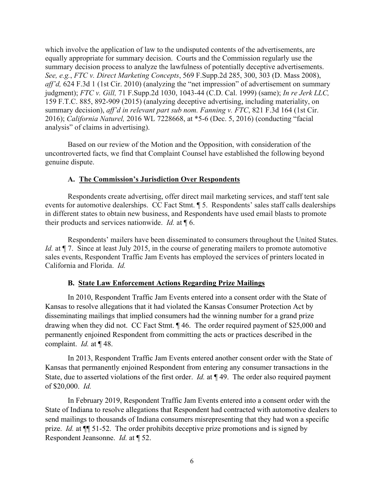which involve the application of law to the undisputed contents of the advertisements, are equally appropriate for summary decision. Courts and the Commission regularly use the summary decision process to analyze the lawfulness of potentially deceptive advertisements. *See, e.g.*, *FTC v. Direct Marketing Concepts*, 569 F.Supp.2d 285, 300, 303 (D. Mass 2008), *aff'd,* 624 F.3d 1 (1st Cir. 2010) (analyzing the "net impression" of advertisement on summary judgment); *FTC v. Gill,* 71 F.Supp.2d 1030, 1043-44 (C.D. Cal. 1999) (same); *In re Jerk LLC,*  159 F.T.C. 885, 892-909 (2015) (analyzing deceptive advertising, including materiality, on summary decision), *aff'd in relevant part sub nom. Fanning v. FTC*, 821 F.3d 164 (1st Cir. 2016); *California Naturel,* 2016 WL 7228668, at \*5-6 (Dec. 5, 2016) (conducting "facial analysis" of claims in advertising).

Based on our review of the Motion and the Opposition, with consideration of the uncontroverted facts, we find that Complaint Counsel have established the following beyond genuine dispute.

# **A. The Commission's Jurisdiction Over Respondents**

Respondents create advertising, offer direct mail marketing services, and staff tent sale events for automotive dealerships. CC Fact Stmt. ¶ 5. Respondents' sales staff calls dealerships in different states to obtain new business, and Respondents have used email blasts to promote their products and services nationwide. *Id.* at ¶ 6.

Respondents' mailers have been disseminated to consumers throughout the United States. *Id.* at  $\P$  7. Since at least July 2015, in the course of generating mailers to promote automotive sales events, Respondent Traffic Jam Events has employed the services of printers located in California and Florida. *Id.*

# **B. State Law Enforcement Actions Regarding Prize Mailings**

In 2010, Respondent Traffic Jam Events entered into a consent order with the State of Kansas to resolve allegations that it had violated the Kansas Consumer Protection Act by disseminating mailings that implied consumers had the winning number for a grand prize drawing when they did not. CC Fact Stmt. ¶ 46. The order required payment of \$25,000 and permanently enjoined Respondent from committing the acts or practices described in the complaint. *Id.* at ¶ 48.

In 2013, Respondent Traffic Jam Events entered another consent order with the State of Kansas that permanently enjoined Respondent from entering any consumer transactions in the State, due to asserted violations of the first order. *Id.* at ¶ 49. The order also required payment of \$20,000. *Id.*

In February 2019, Respondent Traffic Jam Events entered into a consent order with the State of Indiana to resolve allegations that Respondent had contracted with automotive dealers to send mailings to thousands of Indiana consumers misrepresenting that they had won a specific prize. *Id.* at ¶¶ 51-52. The order prohibits deceptive prize promotions and is signed by Respondent Jeansonne. *Id.* at ¶ 52.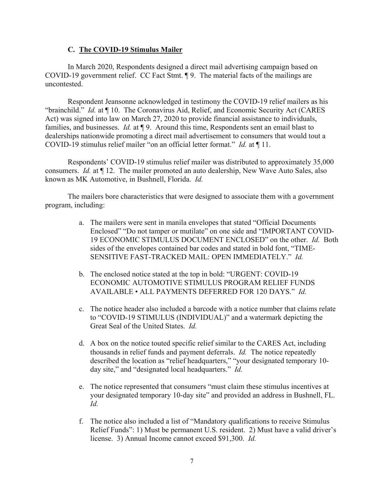## **C. The COVID-19 Stimulus Mailer**

In March 2020, Respondents designed a direct mail advertising campaign based on COVID-19 government relief. CC Fact Stmt. ¶ 9. The material facts of the mailings are uncontested.

Respondent Jeansonne acknowledged in testimony the COVID-19 relief mailers as his "brainchild." *Id.* at ¶ 10. The Coronavirus Aid, Relief, and Economic Security Act (CARES Act) was signed into law on March 27, 2020 to provide financial assistance to individuals, families, and businesses. *Id.* at ¶ 9. Around this time, Respondents sent an email blast to dealerships nationwide promoting a direct mail advertisement to consumers that would tout a COVID-19 stimulus relief mailer "on an official letter format." *Id.* at ¶ 11.

Respondents' COVID-19 stimulus relief mailer was distributed to approximately 35,000 consumers. *Id.* at ¶ 12. The mailer promoted an auto dealership, New Wave Auto Sales, also known as MK Automotive, in Bushnell, Florida. *Id.*

The mailers bore characteristics that were designed to associate them with a government program, including:

- a. The mailers were sent in manila envelopes that stated "Official Documents Enclosed" "Do not tamper or mutilate" on one side and "IMPORTANT COVID-19 ECONOMIC STIMULUS DOCUMENT ENCLOSED" on the other. *Id.* Both sides of the envelopes contained bar codes and stated in bold font, "TIME-SENSITIVE FAST-TRACKED MAIL: OPEN IMMEDIATELY." *Id.*
- b. The enclosed notice stated at the top in bold: "URGENT: COVID-19 ECONOMIC AUTOMOTIVE STIMULUS PROGRAM RELIEF FUNDS AVAILABLE • ALL PAYMENTS DEFERRED FOR 120 DAYS." *Id.*
- c. The notice header also included a barcode with a notice number that claims relate to "COVID-19 STIMULUS (INDIVIDUAL)" and a watermark depicting the Great Seal of the United States. *Id.*
- d. A box on the notice touted specific relief similar to the CARES Act, including thousands in relief funds and payment deferrals. *Id.* The notice repeatedly described the location as "relief headquarters," "your designated temporary 10 day site," and "designated local headquarters." *Id.*
- e. The notice represented that consumers "must claim these stimulus incentives at your designated temporary 10-day site" and provided an address in Bushnell, FL. *Id.*
- f. The notice also included a list of "Mandatory qualifications to receive Stimulus Relief Funds": 1) Must be permanent U.S. resident. 2) Must have a valid driver's license. 3) Annual Income cannot exceed \$91,300. *Id.*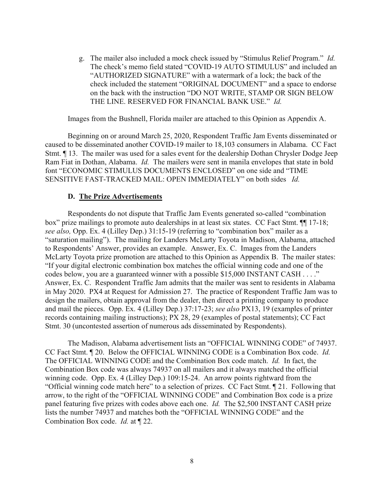g. The mailer also included a mock check issued by "Stimulus Relief Program." *Id.* The check's memo field stated "COVID-19 AUTO STIMULUS" and included an "AUTHORIZED SIGNATURE" with a watermark of a lock; the back of the check included the statement "ORIGINAL DOCUMENT" and a space to endorse on the back with the instruction "DO NOT WRITE, STAMP OR SIGN BELOW THE LINE. RESERVED FOR FINANCIAL BANK USE." *Id.*

Images from the Bushnell, Florida mailer are attached to this Opinion as Appendix A.

Beginning on or around March 25, 2020, Respondent Traffic Jam Events disseminated or caused to be disseminated another COVID-19 mailer to 18,103 consumers in Alabama. CC Fact Stmt. ¶ 13. The mailer was used for a sales event for the dealership Dothan Chrysler Dodge Jeep Ram Fiat in Dothan, Alabama. *Id.* The mailers were sent in manila envelopes that state in bold font "ECONOMIC STIMULUS DOCUMENTS ENCLOSED" on one side and "TIME SENSITIVE FAST-TRACKED MAIL: OPEN IMMEDIATELY" on both sides *Id.* 

#### **D. The Prize Advertisements**

Respondents do not dispute that Traffic Jam Events generated so-called "combination box" prize mailings to promote auto dealerships in at least six states. CC Fact Stmt. ¶¶ 17-18; *see also,* Opp. Ex. 4 (Lilley Dep.) 31:15-19 (referring to "combination box" mailer as a "saturation mailing"). The mailing for Landers McLarty Toyota in Madison, Alabama, attached to Respondents' Answer, provides an example. Answer, Ex. C. Images from the Landers McLarty Toyota prize promotion are attached to this Opinion as Appendix B. The mailer states: "If your digital electronic combination box matches the official winning code and one of the codes below, you are a guaranteed winner with a possible \$15,000 INSTANT CASH . . . ." Answer, Ex. C. Respondent Traffic Jam admits that the mailer was sent to residents in Alabama in May 2020. PX4 at Request for Admission 27. The practice of Respondent Traffic Jam was to design the mailers, obtain approval from the dealer, then direct a printing company to produce and mail the pieces. Opp. Ex. 4 (Lilley Dep.) 37:17-23; *see also* PX13, 19 (examples of printer records containing mailing instructions); PX 28, 29 (examples of postal statements); CC Fact Stmt. 30 (uncontested assertion of numerous ads disseminated by Respondents).

The Madison, Alabama advertisement lists an "OFFICIAL WINNING CODE" of 74937. CC Fact Stmt. ¶ 20. Below the OFFICIAL WINNING CODE is a Combination Box code. *Id.* The OFFICIAL WINNING CODE and the Combination Box code match. *Id.* In fact, the Combination Box code was always 74937 on all mailers and it always matched the official winning code. Opp. Ex. 4 (Lilley Dep.) 109:15-24. An arrow points rightward from the "Official winning code match here" to a selection of prizes. CC Fact Stmt. ¶ 21. Following that arrow, to the right of the "OFFICIAL WINNING CODE" and Combination Box code is a prize panel featuring five prizes with codes above each one. *Id.* The \$2,500 INSTANT CASH prize lists the number 74937 and matches both the "OFFICIAL WINNING CODE" and the Combination Box code. *Id.* at ¶ 22.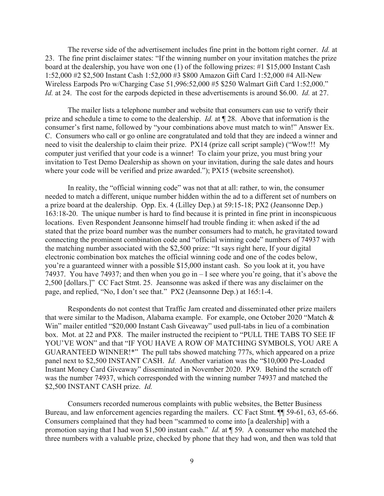The reverse side of the advertisement includes fine print in the bottom right corner. *Id.* at 23. The fine print disclaimer states: "If the winning number on your invitation matches the prize board at the dealership, you have won one (1) of the following prizes: #1 \$15,000 Instant Cash 1:52,000 #2 \$2,500 Instant Cash 1:52,000 #3 \$800 Amazon Gift Card 1:52,000 #4 All-New Wireless Earpods Pro w/Charging Case 51,996:52,000 #5 \$250 Walmart Gift Card 1:52,000." *Id.* at 24. The cost for the earpods depicted in these advertisements is around \$6.00. *Id.* at 27.

The mailer lists a telephone number and website that consumers can use to verify their prize and schedule a time to come to the dealership. *Id.* at ¶ 28. Above that information is the consumer's first name, followed by "your combinations above must match to win!" Answer Ex. C. Consumers who call or go online are congratulated and told that they are indeed a winner and need to visit the dealership to claim their prize. PX14 (prize call script sample) ("Wow!!! My computer just verified that your code is a winner! To claim your prize, you must bring your invitation to Test Demo Dealership as shown on your invitation, during the sale dates and hours where your code will be verified and prize awarded."); PX15 (website screenshot).

In reality, the "official winning code" was not that at all: rather, to win, the consumer needed to match a different, unique number hidden within the ad to a different set of numbers on a prize board at the dealership. Opp. Ex. 4 (Lilley Dep.) at 59:15-18; PX2 (Jeansonne Dep.) 163:18-20. The unique number is hard to find because it is printed in fine print in inconspicuous locations. Even Respondent Jeansonne himself had trouble finding it: when asked if the ad stated that the prize board number was the number consumers had to match, he gravitated toward connecting the prominent combination code and "official winning code" numbers of 74937 with the matching number associated with the \$2,500 prize: "It says right here, If your digital electronic combination box matches the official winning code and one of the codes below, you're a guaranteed winner with a possible \$15,000 instant cash. So you look at it, you have 74937. You have 74937; and then when you go in – I see where you're going, that it's above the 2,500 [dollars.]" CC Fact Stmt. 25. Jeansonne was asked if there was any disclaimer on the page, and replied, "No, I don't see that." PX2 (Jeansonne Dep.) at 165:1-4.

Respondents do not contest that Traffic Jam created and disseminated other prize mailers that were similar to the Madison, Alabama example. For example, one October 2020 "Match & Win" mailer entitled "\$20,000 Instant Cash Giveaway" used pull-tabs in lieu of a combination box. Mot. at 22 and PX8. The mailer instructed the recipient to "PULL THE TABS TO SEE IF YOU'VE WON" and that "IF YOU HAVE A ROW OF MATCHING SYMBOLS, YOU ARE A GUARANTEED WINNER!\*" The pull tabs showed matching 777s, which appeared on a prize panel next to \$2,500 INSTANT CASH. *Id.* Another variation was the "\$10,000 Pre-Loaded Instant Money Card Giveaway" disseminated in November 2020. PX9. Behind the scratch off was the number 74937, which corresponded with the winning number 74937 and matched the \$2,500 INSTANT CASH prize. *Id.*

Consumers recorded numerous complaints with public websites, the Better Business Bureau, and law enforcement agencies regarding the mailers. CC Fact Stmt.  $\P$  59-61, 63, 65-66. Consumers complained that they had been "scammed to come into [a dealership] with a promotion saying that I had won \$1,500 instant cash." *Id.* at ¶ 59. A consumer who matched the three numbers with a valuable prize, checked by phone that they had won, and then was told that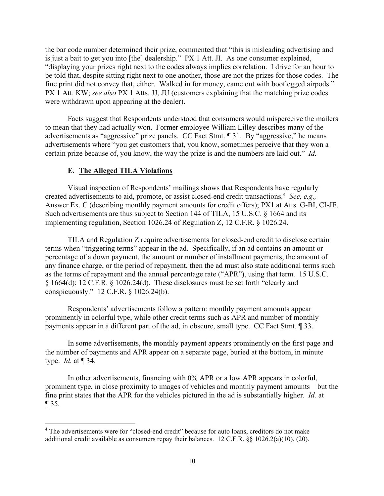the bar code number determined their prize, commented that "this is misleading advertising and is just a bait to get you into [the] dealership." PX 1 Att. JI. As one consumer explained, "displaying your prizes right next to the codes always implies correlation. I drive for an hour to be told that, despite sitting right next to one another, those are not the prizes for those codes. The fine print did not convey that, either. Walked in for money, came out with bootlegged airpods." PX 1 Att. KW; *see also* PX 1 Atts. JJ, JU (customers explaining that the matching prize codes were withdrawn upon appearing at the dealer).

Facts suggest that Respondents understood that consumers would misperceive the mailers to mean that they had actually won. Former employee William Lilley describes many of the advertisements as "aggressive" prize panels. CC Fact Stmt. ¶ 31. By "aggressive," he means advertisements where "you get customers that, you know, sometimes perceive that they won a certain prize because of, you know, the way the prize is and the numbers are laid out." *Id.*

# **E. The Alleged TILA Violations**

 $\overline{a}$ 

Visual inspection of Respondents' mailings shows that Respondents have regularly created advertisements to aid, promote, or assist closed-end credit transactions.[4](#page-9-0) *See, e.g.,*  Answer Ex. C (describing monthly payment amounts for credit offers); PX1 at Atts. G-BI, CI-JE. Such advertisements are thus subject to Section 144 of TILA, 15 U.S.C. § 1664 and its implementing regulation, Section 1026.24 of Regulation Z, 12 C.F.R. § 1026.24.

TILA and Regulation Z require advertisements for closed-end credit to disclose certain terms when "triggering terms" appear in the ad. Specifically, if an ad contains an amount or percentage of a down payment, the amount or number of installment payments, the amount of any finance charge, or the period of repayment, then the ad must also state additional terms such as the terms of repayment and the annual percentage rate ("APR"), using that term. 15 U.S.C. § 1664(d); 12 C.F.R. § 1026.24(d). These disclosures must be set forth "clearly and conspicuously." 12 C.F.R. § 1026.24(b).

Respondents' advertisements follow a pattern: monthly payment amounts appear prominently in colorful type, while other credit terms such as APR and number of monthly payments appear in a different part of the ad, in obscure, small type. CC Fact Stmt. ¶ 33.

In some advertisements, the monthly payment appears prominently on the first page and the number of payments and APR appear on a separate page, buried at the bottom, in minute type. *Id.* at ¶ 34.

In other advertisements, financing with 0% APR or a low APR appears in colorful, prominent type, in close proximity to images of vehicles and monthly payment amounts – but the fine print states that the APR for the vehicles pictured in the ad is substantially higher. *Id.* at ¶ 35.

<span id="page-9-0"></span><sup>&</sup>lt;sup>4</sup> The advertisements were for "closed-end credit" because for auto loans, creditors do not make additional credit available as consumers repay their balances. 12 C.F.R. §§ 1026.2(a)(10), (20).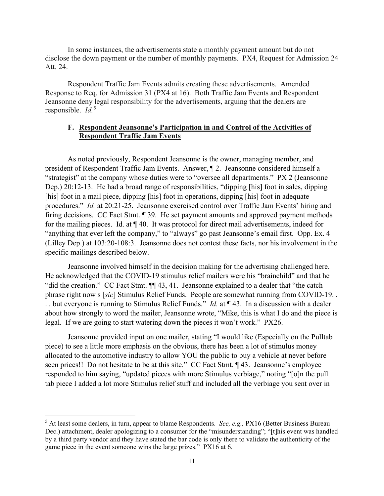In some instances, the advertisements state a monthly payment amount but do not disclose the down payment or the number of monthly payments. PX4, Request for Admission 24 Att. 24.

Respondent Traffic Jam Events admits creating these advertisements. Amended Response to Req. for Admission 31 (PX4 at 16). Both Traffic Jam Events and Respondent Jeansonne deny legal responsibility for the advertisements, arguing that the dealers are responsible. *Id.*[5](#page-10-0)

# **F. Respondent Jeansonne's Participation in and Control of the Activities of Respondent Traffic Jam Events**

As noted previously, Respondent Jeansonne is the owner, managing member, and president of Respondent Traffic Jam Events. Answer, ¶ 2. Jeansonne considered himself a "strategist" at the company whose duties were to "oversee all departments." PX 2 (Jeansonne Dep.) 20:12-13. He had a broad range of responsibilities, "dipping [his] foot in sales, dipping [his] foot in a mail piece, dipping [his] foot in operations, dipping [his] foot in adequate procedures." *Id.* at 20:21-25. Jeansonne exercised control over Traffic Jam Events' hiring and firing decisions. CC Fact Stmt. ¶ 39. He set payment amounts and approved payment methods for the mailing pieces. Id. at ¶ 40. It was protocol for direct mail advertisements, indeed for "anything that ever left the company," to "always" go past Jeansonne's email first. Opp. Ex. 4 (Lilley Dep.) at 103:20-108:3. Jeansonne does not contest these facts, nor his involvement in the specific mailings described below.

Jeansonne involved himself in the decision making for the advertising challenged here. He acknowledged that the COVID-19 stimulus relief mailers were his "brainchild" and that he "did the creation." CC Fact Stmt. ¶¶ 43, 41. Jeansonne explained to a dealer that "the catch phrase right now s [*sic*] Stimulus Relief Funds. People are somewhat running from COVID-19. . . . but everyone is running to Stimulus Relief Funds." *Id.* at ¶ 43. In a discussion with a dealer about how strongly to word the mailer, Jeansonne wrote, "Mike, this is what I do and the piece is legal. If we are going to start watering down the pieces it won't work." PX26.

Jeansonne provided input on one mailer, stating "I would like (Especially on the Pulltab piece) to see a little more emphasis on the obvious, there has been a lot of stimulus money allocated to the automotive industry to allow YOU the public to buy a vehicle at never before seen prices!! Do not hesitate to be at this site." CC Fact Stmt.  $\P$  43. Jeansonne's employee responded to him saying, "updated pieces with more Stimulus verbiage," noting "[o]n the pull tab piece I added a lot more Stimulus relief stuff and included all the verbiage you sent over in

l

<span id="page-10-0"></span><sup>5</sup> At least some dealers, in turn, appear to blame Respondents. *See, e.g.,* PX16 (Better Business Bureau Dec.) attachment, dealer apologizing to a consumer for the "misunderstanding"; "[t]his event was handled by a third party vendor and they have stated the bar code is only there to validate the authenticity of the game piece in the event someone wins the large prizes." PX16 at 6.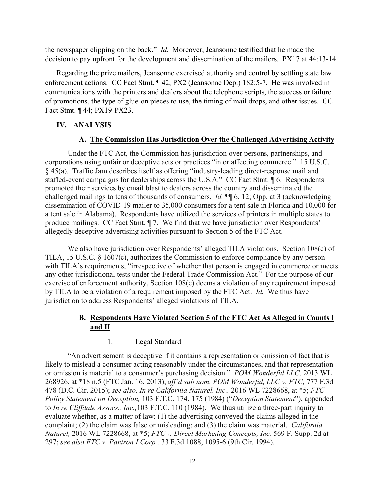the newspaper clipping on the back." *Id.* Moreover, Jeansonne testified that he made the decision to pay upfront for the development and dissemination of the mailers. PX17 at 44:13-14.

Regarding the prize mailers, Jeansonne exercised authority and control by settling state law enforcement actions. CC Fact Stmt. ¶ 42; PX2 (Jeansonne Dep.) 182:5-7. He was involved in communications with the printers and dealers about the telephone scripts, the success or failure of promotions, the type of glue-on pieces to use, the timing of mail drops, and other issues. CC Fact Stmt. ¶ 44; PX19-PX23.

# **IV. ANALYSIS**

#### **A. The Commission Has Jurisdiction Over the Challenged Advertising Activity**

Under the FTC Act, the Commission has jurisdiction over persons, partnerships, and corporations using unfair or deceptive acts or practices "in or affecting commerce." 15 U.S.C. § 45(a). Traffic Jam describes itself as offering "industry-leading direct-response mail and staffed-event campaigns for dealerships across the U.S.A." CC Fact Stmt. ¶ 6. Respondents promoted their services by email blast to dealers across the country and disseminated the challenged mailings to tens of thousands of consumers. *Id.* ¶¶ 6, 12; Opp. at 3 (acknowledging dissemination of COVID-19 mailer to 35,000 consumers for a tent sale in Florida and 10,000 for a tent sale in Alabama). Respondents have utilized the services of printers in multiple states to produce mailings. CC Fact Stmt. ¶ 7. We find that we have jurisdiction over Respondents' allegedly deceptive advertising activities pursuant to Section 5 of the FTC Act.

We also have jurisdiction over Respondents' alleged TILA violations. Section 108(c) of TILA, 15 U.S.C. § 1607(c), authorizes the Commission to enforce compliance by any person with TILA's requirements, "irrespective of whether that person is engaged in commerce or meets any other jurisdictional tests under the Federal Trade Commission Act." For the purpose of our exercise of enforcement authority, Section 108(c) deems a violation of any requirement imposed by TILA to be a violation of a requirement imposed by the FTC Act. *Id.*We thus have jurisdiction to address Respondents' alleged violations of TILA.

# **B. Respondents Have Violated Section 5 of the FTC Act As Alleged in Counts I and II**

## 1. Legal Standard

"An advertisement is deceptive if it contains a representation or omission of fact that is likely to mislead a consumer acting reasonably under the circumstances, and that representation or omission is material to a consumer's purchasing decision." *POM Wonderful LLC,* 2013 WL 268926, at \*18 n.5 (FTC Jan. 16, 2013), *aff'd sub nom. POM Wonderful, LLC v. FTC,* 777 F.3d 478 (D.C. Cir. 2015); *see also, In re California Naturel, Inc.,* 2016 WL 7228668, at \*5; *FTC Policy Statement on Deception,* 103 F.T.C. 174, 175 (1984) ("*Deception Statement*"), appended to *In re Cliffdale Assocs., Inc.,*103 F.T.C. 110 (1984). We thus utilize a three-part inquiry to evaluate whether, as a matter of law: (1) the advertising conveyed the claims alleged in the complaint; (2) the claim was false or misleading; and (3) the claim was material. *California Naturel,* 2016 WL 7228668, at \*5; *FTC v. Direct Marketing Concepts, Inc.* 569 F. Supp. 2d at 297; *see also FTC v. Pantron I Corp.,* 33 F.3d 1088, 1095-6 (9th Cir. 1994).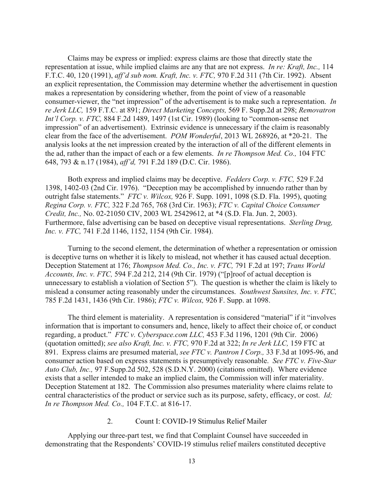Claims may be express or implied: express claims are those that directly state the representation at issue, while implied claims are any that are not express. *In re: Kraft, Inc.,* 114 F.T.C. 40, 120 (1991), *aff'd sub nom. Kraft, Inc. v. FTC,* 970 F.2d 311 (7th Cir. 1992). Absent an explicit representation, the Commission may determine whether the advertisement in question makes a representation by considering whether, from the point of view of a reasonable consumer-viewer, the "net impression" of the advertisement is to make such a representation. *In re Jerk LLC,* 159 F.T.C. at 891; *Direct Marketing Concepts,* 569 F. Supp.2d at 298; *Removatron Int'l Corp. v. FTC,* 884 F.2d 1489, 1497 (1st Cir. 1989) (looking to "common-sense net impression" of an advertisement). Extrinsic evidence is unnecessary if the claim is reasonably clear from the face of the advertisement. *POM Wonderful*, 2013 WL 268926, at \*20-21. The analysis looks at the net impression created by the interaction of all of the different elements in the ad, rather than the impact of each or a few elements. *In re Thompson Med. Co.,* 104 FTC 648, 793 & n.17 (1984), *aff'd,* 791 F.2d 189 (D.C. Cir. 1986).

Both express and implied claims may be deceptive. *Fedders Corp. v. FTC,* 529 F.2d 1398, 1402-03 (2nd Cir. 1976). "Deception may be accomplished by innuendo rather than by outright false statements." *FTC v. Wilcox,* 926 F. Supp. 1091, 1098 (S.D. Fla. 1995), quoting *Regina Corp. v. FTC,* 322 F.2d 765, 768 (3rd Cir. 1963); *FTC v. Capital Choice Consumer Credit, Inc.,* No. 02-21050 CIV, 2003 WL 25429612, at \*4 (S.D. Fla. Jun. 2, 2003). Furthermore, false advertising can be based on deceptive visual representations. *Sterling Drug, Inc. v. FTC,* 741 F.2d 1146, 1152, 1154 (9th Cir. 1984).

Turning to the second element, the determination of whether a representation or omission is deceptive turns on whether it is likely to mislead, not whether it has caused actual deception. Deception Statement at 176; *Thompson Med. Co., Inc. v. FTC,* 791 F.2d at 197; *Trans World Accounts, Inc. v. FTC,* 594 F.2d 212, 214 (9th Cir. 1979) ("[p]roof of actual deception is unnecessary to establish a violation of Section 5"). The question is whether the claim is likely to mislead a consumer acting reasonably under the circumstances. *Southwest Sunsites, Inc. v. FTC,* 785 F.2d 1431, 1436 (9th Cir. 1986); *FTC v. Wilcox,* 926 F. Supp. at 1098.

The third element is materiality. A representation is considered "material" if it "involves information that is important to consumers and, hence, likely to affect their choice of, or conduct regarding, a product." *FTC v. Cyberspace.com LLC,* 453 F.3d 1196, 1201 (9th Cir. 2006) (quotation omitted); *see also Kraft, Inc. v. FTC,* 970 F.2d at 322; *In re Jerk LLC,* 159 FTC at 891. Express claims are presumed material, *see FTC v. Pantron I Corp.,* 33 F.3d at 1095-96, and consumer action based on express statements is presumptively reasonable. *See FTC v. Five-Star Auto Club, Inc.,* 97 F.Supp.2d 502, 528 (S.D.N.Y. 2000) (citations omitted). Where evidence exists that a seller intended to make an implied claim, the Commission will infer materiality. Deception Statement at 182. The Commission also presumes materiality where claims relate to central characteristics of the product or service such as its purpose, safety, efficacy, or cost. *Id; In re Thompson Med. Co.,* 104 F.T.C. at 816-17.

## 2. Count I: COVID-19 Stimulus Relief Mailer

Applying our three-part test, we find that Complaint Counsel have succeeded in demonstrating that the Respondents' COVID-19 stimulus relief mailers constituted deceptive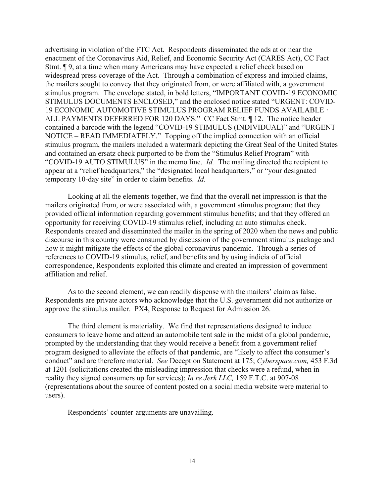advertising in violation of the FTC Act. Respondents disseminated the ads at or near the enactment of the Coronavirus Aid, Relief, and Economic Security Act (CARES Act), CC Fact Stmt. ¶ 9, at a time when many Americans may have expected a relief check based on widespread press coverage of the Act. Through a combination of express and implied claims, the mailers sought to convey that they originated from, or were affiliated with, a government stimulus program. The envelope stated, in bold letters, "IMPORTANT COVID-19 ECONOMIC STIMULUS DOCUMENTS ENCLOSED," and the enclosed notice stated "URGENT: COVID-19 ECONOMIC AUTOMOTIVE STIMULUS PROGRAM RELIEF FUNDS AVAILABLE **·** ALL PAYMENTS DEFERRED FOR 120 DAYS." CC Fact Stmt. ¶ 12. The notice header contained a barcode with the legend "COVID-19 STIMULUS (INDIVIDUAL)" and "URGENT NOTICE – READ IMMEDIATELY." Topping off the implied connection with an official stimulus program, the mailers included a watermark depicting the Great Seal of the United States and contained an ersatz check purported to be from the "Stimulus Relief Program" with "COVID-19 AUTO STIMULUS" in the memo line. *Id.* The mailing directed the recipient to appear at a "relief headquarters," the "designated local headquarters," or "your designated temporary 10-day site" in order to claim benefits. *Id.*

Looking at all the elements together, we find that the overall net impression is that the mailers originated from, or were associated with, a government stimulus program; that they provided official information regarding government stimulus benefits; and that they offered an opportunity for receiving COVID-19 stimulus relief, including an auto stimulus check. Respondents created and disseminated the mailer in the spring of 2020 when the news and public discourse in this country were consumed by discussion of the government stimulus package and how it might mitigate the effects of the global coronavirus pandemic. Through a series of references to COVID-19 stimulus, relief, and benefits and by using indicia of official correspondence, Respondents exploited this climate and created an impression of government affiliation and relief.

As to the second element, we can readily dispense with the mailers' claim as false. Respondents are private actors who acknowledge that the U.S. government did not authorize or approve the stimulus mailer. PX4, Response to Request for Admission 26.

The third element is materiality. We find that representations designed to induce consumers to leave home and attend an automobile tent sale in the midst of a global pandemic, prompted by the understanding that they would receive a benefit from a government relief program designed to alleviate the effects of that pandemic, are "likely to affect the consumer's conduct" and are therefore material. *See* Deception Statement at 175; *Cyberspace.com,* 453 F.3d at 1201 (solicitations created the misleading impression that checks were a refund, when in reality they signed consumers up for services); *In re Jerk LLC,* 159 F.T.C. at 907-08 (representations about the source of content posted on a social media website were material to users).

Respondents' counter-arguments are unavailing.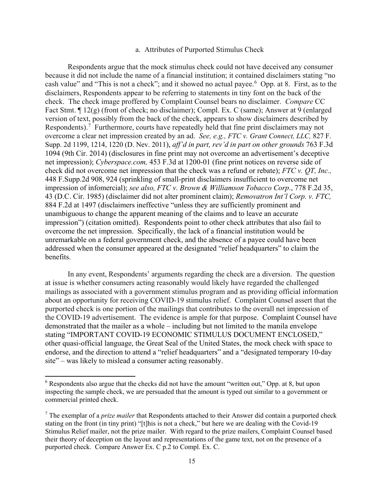#### a. Attributes of Purported Stimulus Check

Respondents argue that the mock stimulus check could not have deceived any consumer because it did not include the name of a financial institution; it contained disclaimers stating "no cash value" and "This is not a check"; and it showed no actual payee.<sup>[6](#page-14-0)</sup> Opp. at 8. First, as to the disclaimers, Respondents appear to be referring to statements in tiny font on the back of the check. The check image proffered by Complaint Counsel bears no disclaimer. *Compare* CC Fact Stmt. ¶ 12(g) (front of check; no disclaimer); Compl. Ex. C (same); Answer at 9 (enlarged version of text, possibly from the back of the check, appears to show disclaimers described by Respondents).<sup>[7](#page-14-1)</sup> Furthermore, courts have repeatedly held that fine print disclaimers may not overcome a clear net impression created by an ad. *See, e.g., FTC v. Grant Connect, LLC,* 827 F. Supp. 2d 1199, 1214, 1220 (D. Nev. 2011), *aff'd in part, rev'd in part on other grounds* 763 F.3d 1094 (9th Cir. 2014) (disclosures in fine print may not overcome an advertisement's deceptive net impression); *Cyberspace.com,* 453 F.3d at 1200-01 (fine print notices on reverse side of check did not overcome net impression that the check was a refund or rebate); *FTC v. QT, Inc.,*  448 F.Supp.2d 908, 924 (sprinkling of small-print disclaimers insufficient to overcome net impression of infomercial); *see also, FTC v. Brown & Williamson Tobacco Corp*., 778 F.2d 35, 43 (D.C. Cir. 1985) (disclaimer did not alter prominent claim); *Removatron Int'l Corp. v. FTC,*  884 F.2d at 1497 (disclaimers ineffective "unless they are sufficiently prominent and unambiguous to change the apparent meaning of the claims and to leave an accurate impression") (citation omitted). Respondents point to other check attributes that also fail to overcome the net impression. Specifically, the lack of a financial institution would be unremarkable on a federal government check, and the absence of a payee could have been addressed when the consumer appeared at the designated "relief headquarters" to claim the benefits.

In any event, Respondents' arguments regarding the check are a diversion. The question at issue is whether consumers acting reasonably would likely have regarded the challenged mailings as associated with a government stimulus program and as providing official information about an opportunity for receiving COVID-19 stimulus relief. Complaint Counsel assert that the purported check is one portion of the mailings that contributes to the overall net impression of the COVID-19 advertisement. The evidence is ample for that purpose. Complaint Counsel have demonstrated that the mailer as a whole – including but not limited to the manila envelope stating "IMPORTANT COVID-19 ECONOMIC STIMULUS DOCUMENT ENCLOSED," other quasi-official language, the Great Seal of the United States, the mock check with space to endorse, and the direction to attend a "relief headquarters" and a "designated temporary 10-day site" – was likely to mislead a consumer acting reasonably.

 $\overline{\phantom{a}}$ 

<span id="page-14-0"></span><sup>&</sup>lt;sup>6</sup> Respondents also argue that the checks did not have the amount "written out," Opp. at 8, but upon inspecting the sample check, we are persuaded that the amount is typed out similar to a government or commercial printed check.

<span id="page-14-1"></span><sup>7</sup> The exemplar of a *prize mailer* that Respondents attached to their Answer did contain a purported check stating on the front (in tiny print) "[t]his is not a check," but here we are dealing with the Covid-19 Stimulus Relief mailer, not the prize mailer. With regard to the prize mailers, Complaint Counsel based their theory of deception on the layout and representations of the game text, not on the presence of a purported check. Compare Answer Ex. C p.2 to Compl. Ex. C.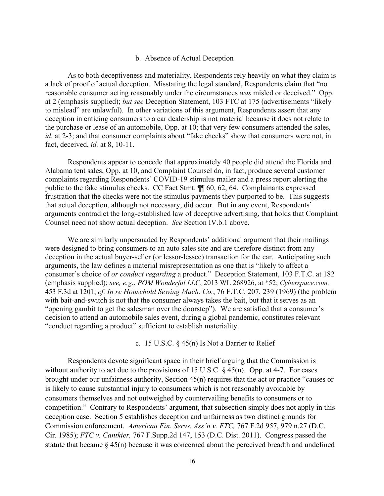#### b. Absence of Actual Deception

As to both deceptiveness and materiality, Respondents rely heavily on what they claim is a lack of proof of actual deception. Misstating the legal standard, Respondents claim that "no reasonable consumer acting reasonably under the circumstances *was* misled or deceived." Opp. at 2 (emphasis supplied); *but see* Deception Statement, 103 FTC at 175 (advertisements "likely to mislead" are unlawful). In other variations of this argument, Respondents assert that any deception in enticing consumers to a car dealership is not material because it does not relate to the purchase or lease of an automobile, Opp. at 10; that very few consumers attended the sales, *id.* at 2-3; and that consumer complaints about "fake checks" show that consumers were not, in fact, deceived, *id.* at 8, 10-11.

Respondents appear to concede that approximately 40 people did attend the Florida and Alabama tent sales, Opp. at 10, and Complaint Counsel do, in fact, produce several customer complaints regarding Respondents' COVID-19 stimulus mailer and a press report alerting the public to the fake stimulus checks. CC Fact Stmt. ¶¶ 60, 62, 64. Complainants expressed frustration that the checks were not the stimulus payments they purported to be. This suggests that actual deception, although not necessary, did occur. But in any event, Respondents' arguments contradict the long-established law of deceptive advertising, that holds that Complaint Counsel need not show actual deception. *See* Section IV.b.1 above.

We are similarly unpersuaded by Respondents' additional argument that their mailings were designed to bring consumers to an auto sales site and are therefore distinct from any deception in the actual buyer-seller (or lessor-lessee) transaction for the car. Anticipating such arguments, the law defines a material misrepresentation as one that is "likely to affect a consumer's choice of *or conduct regarding* a product." Deception Statement, 103 F.T.C. at 182 (emphasis supplied); *see, e.g.*, *POM Wonderful LLC*, 2013 WL 268926, at \*52; *Cyberspace.com,* 453 F.3d at 1201; *cf. In re Household Sewing Mach. Co.*, 76 F.T.C. 207, 239 (1969) (the problem with bait-and-switch is not that the consumer always takes the bait, but that it serves as an "opening gambit to get the salesman over the doorstep").We are satisfied that a consumer's decision to attend an automobile sales event, during a global pandemic, constitutes relevant "conduct regarding a product" sufficient to establish materiality.

c. 15 U.S.C. § 45(n) Is Not a Barrier to Relief

Respondents devote significant space in their brief arguing that the Commission is without authority to act due to the provisions of 15 U.S.C.  $\S$  45(n). Opp. at 4-7. For cases brought under our unfairness authority, Section 45(n) requires that the act or practice "causes or is likely to cause substantial injury to consumers which is not reasonably avoidable by consumers themselves and not outweighed by countervailing benefits to consumers or to competition." Contrary to Respondents' argument, that subsection simply does not apply in this deception case. Section 5 establishes deception and unfairness as two distinct grounds for Commission enforcement. *American Fin. Servs. Ass'n v. FTC,* 767 F.2d 957, 979 n.27 (D.C. Cir. 1985); *FTC v. Cantkier,* 767 F.Supp.2d 147, 153 (D.C. Dist. 2011). Congress passed the statute that became  $\S 45(n)$  because it was concerned about the perceived breadth and undefined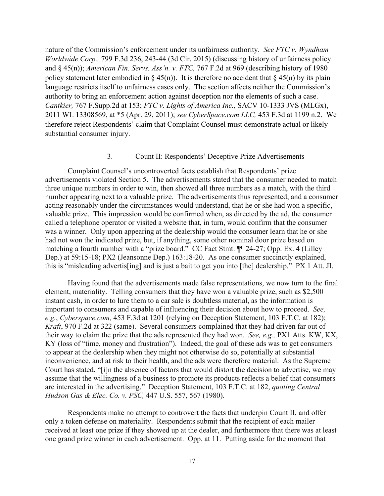nature of the Commission's enforcement under its unfairness authority. *See FTC v. Wyndham Worldwide Corp.,* 799 F.3d 236, 243-44 (3d Cir. 2015) (discussing history of unfairness policy and § 45(n)); *American Fin. Servs. Ass'n. v. FTC,* 767 F.2d at 969 (describing history of 1980 policy statement later embodied in § 45(n)). It is therefore no accident that § 45(n) by its plain language restricts itself to unfairness cases only. The section affects neither the Commission's authority to bring an enforcement action against deception nor the elements of such a case. *Cantkier,* 767 F.Supp.2d at 153; *FTC v. Lights of America Inc.,* SACV 10-1333 JVS (MLGx), 2011 WL 13308569, at \*5 (Apr. 29, 2011); *see CyberSpace.com LLC,* 453 F.3d at 1199 n.2. We therefore reject Respondents' claim that Complaint Counsel must demonstrate actual or likely substantial consumer injury.

## 3. Count II: Respondents' Deceptive Prize Advertisements

Complaint Counsel's uncontroverted facts establish that Respondents' prize advertisements violated Section 5. The advertisements stated that the consumer needed to match three unique numbers in order to win, then showed all three numbers as a match, with the third number appearing next to a valuable prize. The advertisements thus represented, and a consumer acting reasonably under the circumstances would understand, that he or she had won a specific, valuable prize. This impression would be confirmed when, as directed by the ad, the consumer called a telephone operator or visited a website that, in turn, would confirm that the consumer was a winner. Only upon appearing at the dealership would the consumer learn that he or she had not won the indicated prize, but, if anything, some other nominal door prize based on matching a fourth number with a "prize board." CC Fact Stmt. ¶¶ 24-27; Opp. Ex. 4 (Lilley Dep.) at 59:15-18; PX2 (Jeansonne Dep.) 163:18-20. As one consumer succinctly explained, this is "misleading advertis[ing] and is just a bait to get you into [the] dealership." PX 1 Att. JI.

Having found that the advertisements made false representations, we now turn to the final element, materiality. Telling consumers that they have won a valuable prize, such as \$2,500 instant cash, in order to lure them to a car sale is doubtless material, as the information is important to consumers and capable of influencing their decision about how to proceed. *See, e.g.*, *Cyberspace.com,* 453 F.3d at 1201 (relying on Deception Statement, 103 F.T.C. at 182); *Kraft*, 970 F.2d at 322 (same). Several consumers complained that they had driven far out of their way to claim the prize that the ads represented they had won. *See, e.g.,* PX1 Atts. KW, KX, KY (loss of "time, money and frustration"). Indeed, the goal of these ads was to get consumers to appear at the dealership when they might not otherwise do so, potentially at substantial inconvenience, and at risk to their health, and the ads were therefore material. As the Supreme Court has stated, "[i]n the absence of factors that would distort the decision to advertise, we may assume that the willingness of a business to promote its products reflects a belief that consumers are interested in the advertising." Deception Statement, 103 F.T.C. at 182, *quoting Central Hudson Gas & Elec. Co. v. PSC,* 447 U.S. 557, 567 (1980).

Respondents make no attempt to controvert the facts that underpin Count II, and offer only a token defense on materiality. Respondents submit that the recipient of each mailer received at least one prize if they showed up at the dealer, and furthermore that there was at least one grand prize winner in each advertisement. Opp. at 11. Putting aside for the moment that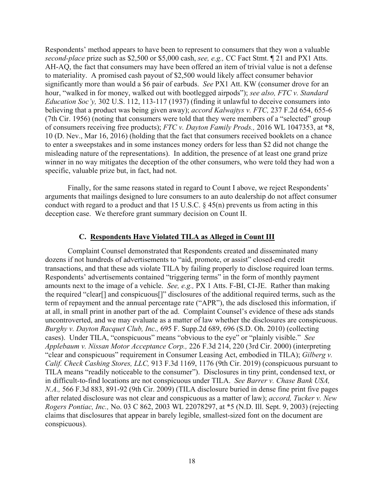Respondents' method appears to have been to represent to consumers that they won a valuable *second-place* prize such as \$2,500 or \$5,000 cash, *see, e.g.,* CC Fact Stmt. ¶ 21 and PX1 Atts. AH-AQ, the fact that consumers may have been offered an item of trivial value is not a defense to materiality. A promised cash payout of \$2,500 would likely affect consumer behavior significantly more than would a \$6 pair of earbuds. *See* PX1 Att. KW (consumer drove for an hour, "walked in for money, walked out with bootlegged airpods"); *see also, FTC v. Standard Education Soc'y,* 302 U.S. 112, 113-117 (1937) (finding it unlawful to deceive consumers into believing that a product was being given away); *accord Kalwajtys v. FTC,* 237 F.2d 654, 655-6 (7th Cir. 1956) (noting that consumers were told that they were members of a "selected" group of consumers receiving free products); *FTC v. Dayton Family Prods.,* 2016 WL 1047353, at \*8, 10 (D. Nev., Mar 16, 2016) (holding that the fact that consumers received booklets on a chance to enter a sweepstakes and in some instances money orders for less than \$2 did not change the misleading nature of the representations). In addition, the presence of at least one grand prize winner in no way mitigates the deception of the other consumers, who were told they had won a specific, valuable prize but, in fact, had not.

Finally, for the same reasons stated in regard to Count I above, we reject Respondents' arguments that mailings designed to lure consumers to an auto dealership do not affect consumer conduct with regard to a product and that 15 U.S.C.  $\S$  45(n) prevents us from acting in this deception case. We therefore grant summary decision on Count II.

#### **C. Respondents Have Violated TILA as Alleged in Count III**

Complaint Counsel demonstrated that Respondents created and disseminated many dozens if not hundreds of advertisements to "aid, promote, or assist" closed-end credit transactions, and that these ads violate TILA by failing properly to disclose required loan terms. Respondents' advertisements contained "triggering terms" in the form of monthly payment amounts next to the image of a vehicle. *See, e.g.,* PX 1 Atts. F-BI, CI-JE. Rather than making the required "clear[] and conspicuous[]" disclosures of the additional required terms, such as the term of repayment and the annual percentage rate ("APR"), the ads disclosed this information, if at all, in small print in another part of the ad. Complaint Counsel's evidence of these ads stands uncontroverted, and we may evaluate as a matter of law whether the disclosures are conspicuous. *Burghy v. Dayton Racquet Club, Inc.,* 695 F. Supp.2d 689, 696 (S.D. Oh. 2010) (collecting cases). Under TILA, "conspicuous" means "obvious to the eye" or "plainly visible." *See Applebaum v. Nissan Motor Acceptance Corp.,* 226 F.3d 214, 220 (3rd Cir. 2000) (interpreting "clear and conspicuous" requirement in Consumer Leasing Act, embodied in TILA); *Gilberg v. Calif. Check Cashing Stores, LLC,* 913 F.3d 1169, 1176 (9th Cir. 2019) (conspicuous pursuant to TILA means "readily noticeable to the consumer"). Disclosures in tiny print, condensed text, or in difficult-to-find locations are not conspicuous under TILA. *See Barrer v. Chase Bank USA, N.A.,* 566 F.3d 883, 891-92 (9th Cir. 2009) (TILA disclosure buried in dense fine print five pages after related disclosure was not clear and conspicuous as a matter of law); *accord, Tucker v. New Rogers Pontiac, Inc.,* No. 03 C 862, 2003 WL 22078297, at \*5 (N.D. Ill. Sept. 9, 2003) (rejecting claims that disclosures that appear in barely legible, smallest-sized font on the document are conspicuous).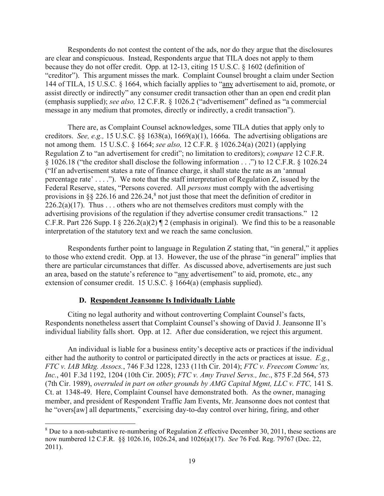Respondents do not contest the content of the ads, nor do they argue that the disclosures are clear and conspicuous. Instead, Respondents argue that TILA does not apply to them because they do not offer credit. Opp. at 12-13, citing 15 U.S.C. § 1602 (definition of "creditor"). This argument misses the mark. Complaint Counsel brought a claim under Section 144 of TILA, 15 U.S.C. § 1664, which facially applies to "any advertisement to aid, promote, or assist directly or indirectly" any consumer credit transaction other than an open end credit plan (emphasis supplied); *see also,* 12 C.F.R. § 1026.2 ("advertisement" defined as "a commercial message in any medium that promotes, directly or indirectly, a credit transaction").

There are, as Complaint Counsel acknowledges, some TILA duties that apply only to creditors. *See, e.g.,* 15 U.S.C. §§ 1638(a), 1669(a)(1), 1666a. The advertising obligations are not among them. 15 U.S.C. § 1664; *see also,* 12 C.F.R. § 1026.24(a) (2021) (applying Regulation Z to "an advertisement for credit"; no limitation to creditors); *compare* 12 C.F.R. § 1026.18 ("the creditor shall disclose the following information . . .") to 12 C.F.R. § 1026.24 ("If an advertisement states a rate of finance charge, it shall state the rate as an 'annual percentage rate' . . . ."). We note that the staff interpretation of Regulation Z, issued by the Federal Reserve, states, "Persons covered. All *persons* must comply with the advertising provisions in  $\S$  226.16 and 226.24, $\delta$  not just those that meet the definition of creditor in  $226.2(a)(17)$ . Thus ... others who are not themselves creditors must comply with the advertising provisions of the regulation if they advertise consumer credit transactions." 12 C.F.R. Part 226 Supp. I  $\S 226.2(a)(2)$  | 2 (emphasis in original). We find this to be a reasonable interpretation of the statutory text and we reach the same conclusion.

Respondents further point to language in Regulation Z stating that, "in general," it applies to those who extend credit. Opp. at 13. However, the use of the phrase "in general" implies that there are particular circumstances that differ. As discussed above, advertisements are just such an area, based on the statute's reference to "any advertisement" to aid, promote, etc., any extension of consumer credit. 15 U.S.C. § 1664(a) (emphasis supplied).

#### **D. Respondent Jeansonne Is Individually Liable**

 $\overline{a}$ 

Citing no legal authority and without controverting Complaint Counsel's facts, Respondents nonetheless assert that Complaint Counsel's showing of David J. Jeansonne II's individual liability falls short. Opp. at 12. After due consideration, we reject this argument.

An individual is liable for a business entity's deceptive acts or practices if the individual either had the authority to control or participated directly in the acts or practices at issue. *E.g.*, *FTC v. IAB Mktg. Assocs.*, 746 F.3d 1228, 1233 (11th Cir. 2014); *FTC v. Freecom Commc'ns, Inc.*, 401 F.3d 1192, 1204 (10th Cir. 2005); *FTC v. Amy Travel Servs., Inc*., 875 F.2d 564, 573 (7th Cir. 1989), *overruled in part on other grounds by AMG Capital Mgmt, LLC v. FTC,* 141 S. Ct. at 1348-49. Here, Complaint Counsel have demonstrated both. As the owner, managing member, and president of Respondent Traffic Jam Events, Mr. Jeansonne does not contest that he "overs[aw] all departments," exercising day-to-day control over hiring, firing, and other

<span id="page-18-0"></span> $8$  Due to a non-substantive re-numbering of Regulation Z effective December 30, 2011, these sections are now numbered 12 C.F.R. §§ 1026.16, 1026.24, and 1026(a)(17). *See* 76 Fed. Reg. 79767 (Dec. 22, 2011).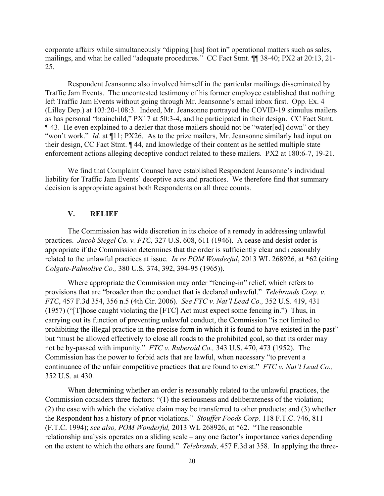corporate affairs while simultaneously "dipping [his] foot in" operational matters such as sales, mailings, and what he called "adequate procedures." CC Fact Stmt. ¶¶ 38-40; PX2 at 20:13, 21- 25.

Respondent Jeansonne also involved himself in the particular mailings disseminated by Traffic Jam Events. The uncontested testimony of his former employee established that nothing left Traffic Jam Events without going through Mr. Jeansonne's email inbox first. Opp. Ex. 4 (Lilley Dep.) at 103:20-108:3. Indeed, Mr. Jeansonne portrayed the COVID-19 stimulus mailers as has personal "brainchild," PX17 at 50:3-4, and he participated in their design. CC Fact Stmt. ¶ 43. He even explained to a dealer that those mailers should not be "water[ed] down" or they "won't work." *Id.* at  $\P{11}$ ; PX26. As to the prize mailers, Mr. Jeansonne similarly had input on their design, CC Fact Stmt. ¶ 44, and knowledge of their content as he settled multiple state enforcement actions alleging deceptive conduct related to these mailers. PX2 at 180:6-7, 19-21.

We find that Complaint Counsel have established Respondent Jeansonne's individual liability for Traffic Jam Events' deceptive acts and practices. We therefore find that summary decision is appropriate against both Respondents on all three counts.

## **V. RELIEF**

The Commission has wide discretion in its choice of a remedy in addressing unlawful practices. *Jacob Siegel Co. v. FTC,* 327 U.S. 608, 611 (1946). A cease and desist order is appropriate if the Commission determines that the order is sufficiently clear and reasonably related to the unlawful practices at issue. *In re POM Wonderful*, 2013 WL 268926, at \*62 (citing *Colgate-Palmolive Co.,* 380 U.S. 374, 392, 394-95 (1965)).

Where appropriate the Commission may order "fencing-in" relief, which refers to provisions that are "broader than the conduct that is declared unlawful." *Telebrands Corp. v. FTC*, 457 F.3d 354, 356 n.5 (4th Cir. 2006). *See FTC v. Nat'l Lead Co.,* 352 U.S. 419, 431 (1957) ("[T]hose caught violating the [FTC] Act must expect some fencing in.") Thus, in carrying out its function of preventing unlawful conduct, the Commission "is not limited to prohibiting the illegal practice in the precise form in which it is found to have existed in the past" but "must be allowed effectively to close all roads to the prohibited goal, so that its order may not be by-passed with impunity." *FTC v. Ruberoid Co.,* 343 U.S. 470, 473 (1952). The Commission has the power to forbid acts that are lawful, when necessary "to prevent a continuance of the unfair competitive practices that are found to exist." *FTC v. Nat'l Lead Co.,* 352 U.S. at 430.

When determining whether an order is reasonably related to the unlawful practices, the Commission considers three factors: "(1) the seriousness and deliberateness of the violation; (2) the ease with which the violative claim may be transferred to other products; and (3) whether the Respondent has a history of prior violations." *Stouffer Foods Corp.* 118 F.T.C. 746, 811 (F.T.C. 1994); *see also, POM Wonderful,* 2013 WL 268926, at \*62. "The reasonable relationship analysis operates on a sliding scale – any one factor's importance varies depending on the extent to which the others are found." *Telebrands,* 457 F.3d at 358. In applying the three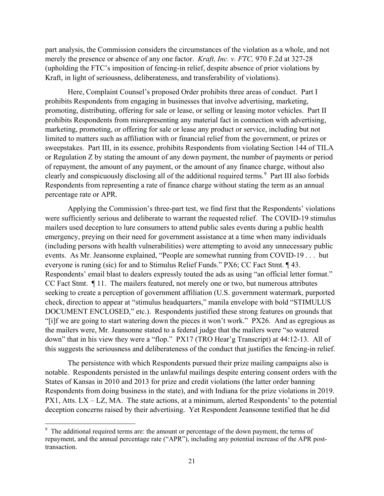part analysis, the Commission considers the circumstances of the violation as a whole, and not merely the presence or absence of any one factor. *Kraft, Inc. v. FTC,* 970 F.2d at 327-28 (upholding the FTC's imposition of fencing-in relief, despite absence of prior violations by Kraft, in light of seriousness, deliberateness, and transferability of violations).

Here, Complaint Counsel's proposed Order prohibits three areas of conduct. Part I prohibits Respondents from engaging in businesses that involve advertising, marketing, promoting, distributing, offering for sale or lease, or selling or leasing motor vehicles. Part II prohibits Respondents from misrepresenting any material fact in connection with advertising, marketing, promoting, or offering for sale or lease any product or service, including but not limited to matters such as affiliation with or financial relief from the government, or prizes or sweepstakes. Part III, in its essence, prohibits Respondents from violating Section 144 of TILA or Regulation Z by stating the amount of any down payment, the number of payments or period of repayment, the amount of any payment, or the amount of any finance charge, without also clearly and conspicuously disclosing all of the additional required terms.<sup>[9](#page-20-0)</sup> Part III also forbids Respondents from representing a rate of finance charge without stating the term as an annual percentage rate or APR.

Applying the Commission's three-part test, we find first that the Respondents' violations were sufficiently serious and deliberate to warrant the requested relief. The COVID-19 stimulus mailers used deception to lure consumers to attend public sales events during a public health emergency, preying on their need for government assistance at a time when many individuals (including persons with health vulnerabilities) were attempting to avoid any unnecessary public events. As Mr. Jeansonne explained, "People are somewhat running from COVID-19 . . . but everyone is runing (sic) for and to Stimulus Relief Funds." PX6; CC Fact Stmt. ¶ 43. Respondents' email blast to dealers expressly touted the ads as using "an official letter format." CC Fact Stmt. ¶ 11. The mailers featured, not merely one or two, but numerous attributes seeking to create a perception of government affiliation (U.S. government watermark, purported check, direction to appear at "stimulus headquarters," manila envelope with bold "STIMULUS DOCUMENT ENCLOSED," etc.). Respondents justified these strong features on grounds that "[i]f we are going to start watering down the pieces it won't work." PX26. And as egregious as the mailers were, Mr. Jeansonne stated to a federal judge that the mailers were "so watered down" that in his view they were a "flop." PX17 (TRO Hear'g Transcript) at 44:12-13. All of this suggests the seriousness and deliberateness of the conduct that justifies the fencing-in relief.

The persistence with which Respondents pursued their prize mailing campaigns also is notable. Respondents persisted in the unlawful mailings despite entering consent orders with the States of Kansas in 2010 and 2013 for prize and credit violations (the latter order banning Respondents from doing business in the state), and with Indiana for the prize violations in 2019. PX1, Atts. LX – LZ, MA.The state actions, at a minimum, alerted Respondents' to the potential deception concerns raised by their advertising. Yet Respondent Jeansonne testified that he did

 $\overline{a}$ 

<span id="page-20-0"></span> $9$  The additional required terms are: the amount or percentage of the down payment, the terms of repayment, and the annual percentage rate ("APR"), including any potential increase of the APR posttransaction.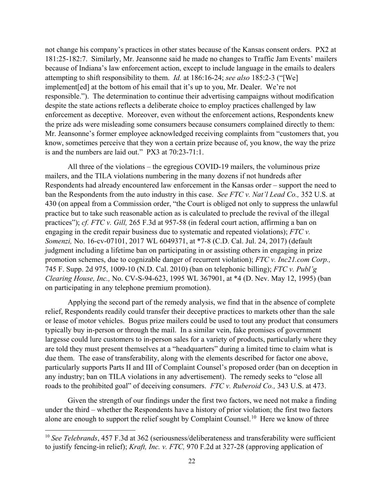not change his company's practices in other states because of the Kansas consent orders. PX2 at 181:25-182:7. Similarly, Mr. Jeansonne said he made no changes to Traffic Jam Events' mailers because of Indiana's law enforcement action, except to include language in the emails to dealers attempting to shift responsibility to them. *Id.* at 186:16-24; *see also* 185:2-3 ("[We] implement[ed] at the bottom of his email that it's up to you, Mr. Dealer. We're not responsible."). The determination to continue their advertising campaigns without modification despite the state actions reflects a deliberate choice to employ practices challenged by law enforcement as deceptive. Moreover, even without the enforcement actions, Respondents knew the prize ads were misleading some consumers because consumers complained directly to them: Mr. Jeansonne's former employee acknowledged receiving complaints from "customers that, you know, sometimes perceive that they won a certain prize because of, you know, the way the prize is and the numbers are laid out." PX3 at 70:23-71:1.

All three of the violations – the egregious COVID-19 mailers, the voluminous prize mailers, and the TILA violations numbering in the many dozens if not hundreds after Respondents had already encountered law enforcement in the Kansas order – support the need to ban the Respondents from the auto industry in this case. *See FTC v. Nat'l Lead Co.,* 352 U.S. at 430 (on appeal from a Commission order, "the Court is obliged not only to suppress the unlawful practice but to take such reasonable action as is calculated to preclude the revival of the illegal practices"); *cf. FTC v. Gill,* 265 F.3d at 957-58 (in federal court action, affirming a ban on engaging in the credit repair business due to systematic and repeated violations); *FTC v. Somenzi,* No. 16-cv-07101, 2017 WL 6049371, at \*7-8 (C.D. Cal. Jul. 24, 2017) (default judgment including a lifetime ban on participating in or assisting others in engaging in prize promotion schemes, due to cognizable danger of recurrent violation); *FTC v. Inc21.com Corp.,* 745 F. Supp. 2d 975, 1009-10 (N.D. Cal. 2010) (ban on telephonic billing); *FTC v. Publ'g Clearing House, Inc.,* No. CV-S-94-623, 1995 WL 367901, at \*4 (D. Nev. May 12, 1995) (ban on participating in any telephone premium promotion).

Applying the second part of the remedy analysis, we find that in the absence of complete relief, Respondents readily could transfer their deceptive practices to markets other than the sale or lease of motor vehicles. Bogus prize mailers could be used to tout any product that consumers typically buy in-person or through the mail. In a similar vein, fake promises of government largesse could lure customers to in-person sales for a variety of products, particularly where they are told they must present themselves at a "headquarters" during a limited time to claim what is due them. The ease of transferability, along with the elements described for factor one above, particularly supports Parts II and III of Complaint Counsel's proposed order (ban on deception in any industry; ban on TILA violations in any advertisement). The remedy seeks to "close all roads to the prohibited goal" of deceiving consumers. *FTC v. Ruberoid Co.,* 343 U.S. at 473.

Given the strength of our findings under the first two factors, we need not make a finding under the third – whether the Respondents have a history of prior violation; the first two factors alone are enough to support the relief sought by Complaint Counsel.<sup>10</sup> Here we know of three

 $\overline{\phantom{a}}$ 

<span id="page-21-0"></span><sup>10</sup> *See Telebrands*, 457 F.3d at 362 (seriousness/deliberateness and transferability were sufficient to justify fencing-in relief); *Kraft, Inc. v. FTC,* 970 F.2d at 327-28 (approving application of